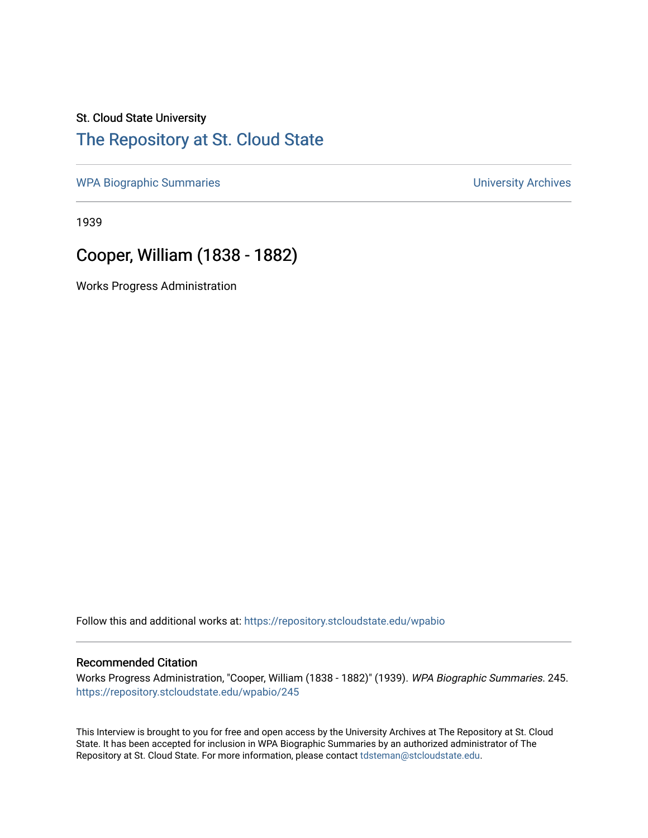## St. Cloud State University

## [The Repository at St. Cloud State](https://repository.stcloudstate.edu/)

[WPA Biographic Summaries](https://repository.stcloudstate.edu/wpabio) **WPA Biographic Summaries University Archives** 

1939

## Cooper, William (1838 - 1882)

Works Progress Administration

Follow this and additional works at: [https://repository.stcloudstate.edu/wpabio](https://repository.stcloudstate.edu/wpabio?utm_source=repository.stcloudstate.edu%2Fwpabio%2F245&utm_medium=PDF&utm_campaign=PDFCoverPages) 

#### Recommended Citation

Works Progress Administration, "Cooper, William (1838 - 1882)" (1939). WPA Biographic Summaries. 245. [https://repository.stcloudstate.edu/wpabio/245](https://repository.stcloudstate.edu/wpabio/245?utm_source=repository.stcloudstate.edu%2Fwpabio%2F245&utm_medium=PDF&utm_campaign=PDFCoverPages) 

This Interview is brought to you for free and open access by the University Archives at The Repository at St. Cloud State. It has been accepted for inclusion in WPA Biographic Summaries by an authorized administrator of The Repository at St. Cloud State. For more information, please contact [tdsteman@stcloudstate.edu.](mailto:tdsteman@stcloudstate.edu)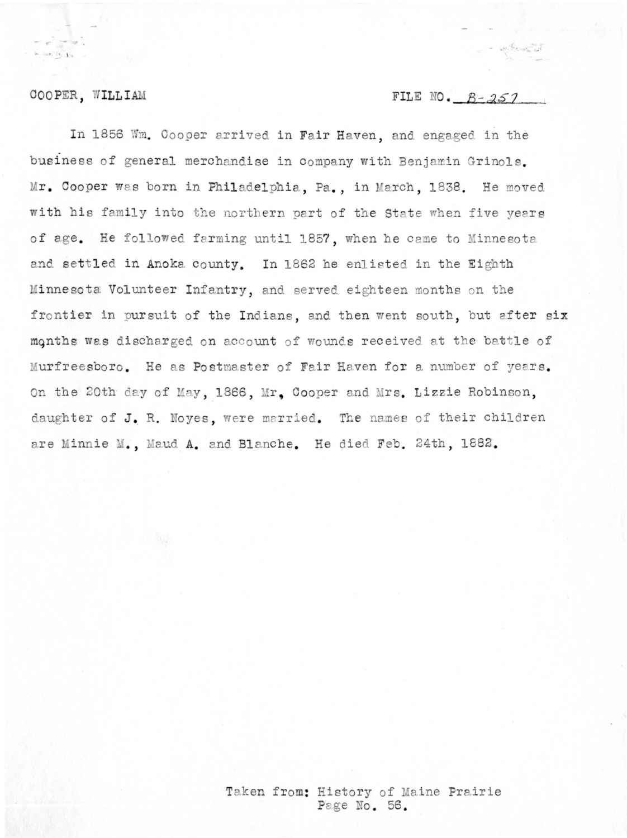### COOPER, WILLIAM

### FILE NO.  $B - 257$

In 1856 Wm. Cooper arrived in Fair Haven, and engaged in the business of general merchandise in company with Benjamin Grinols. Mr. Cooper was born in Philadelphia, Pa., in March, 1838. He moved with his family into the northern part of the State when five years of age. He followed farming until 1857, when he came to Minnesota and settled in Anoka county. In 1862 he enlisted in the Eighth Minnesota Volunteer Infantry, and served eighteen months on the frontier in pursuit of the Indians, and then went south, but after six months was discharged on account of wounds received at the battle of Murfreesboro. He as Postmaster of Fair Haven for a number of years. On the 20th day of May, 1866, Mr. Cooper and Mrs. Lizzie Robinson, daughter of J. R. Noyes, were married. The names of their children are Minnie M., Maud A. and Blanche. He died Feb. 24th, 1882.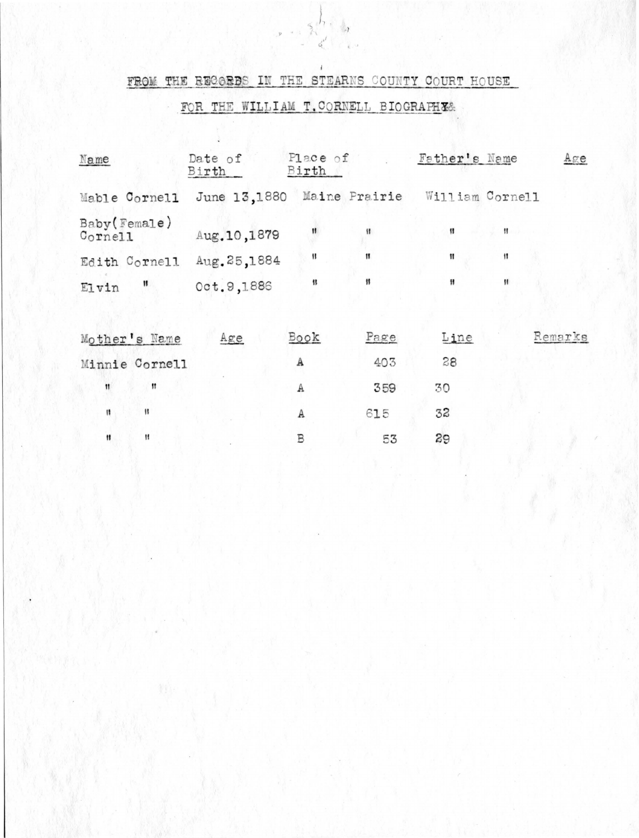# FROM THE RECORDS IN THE STEARNS COUNTY COURT HOUSE

 $x = \frac{1}{2}$ 

# FOR THE WILLIAM T. CORNELL BIOGRAFHES

March 1998 Miller

| Name                    | Date of<br>Birth           | Place of<br>Birth |      | Father's Name   |                | Age     |
|-------------------------|----------------------------|-------------------|------|-----------------|----------------|---------|
| Mable Cornell           | June 13,1880 Maine Prairie |                   |      | William Cornell |                |         |
| Baby(Female)<br>Cornell | Aug. 10,1879               |                   |      | 11              | $\mathbf{H}$ . |         |
| Edith Cornell           | Aug. 25,1884               | 11                | 11   | 11              | Ħ              |         |
| $\mathbf{H}$<br>Elvin   | Oct. 9,1886                | 11                |      | Ħ               | 11             |         |
| Mother's Name           | Age                        | Book              | Page | Line            |                | Remarks |
|                         |                            |                   |      |                 |                |         |
| Minnie Cornell          |                            | А                 | 403  | 28              |                |         |

| $^{11}$ | ** | 359 | 30           |  |
|---------|----|-----|--------------|--|
|         | 47 | 615 | 32           |  |
| Ħ       | R  | EZ  | $20^{\circ}$ |  |